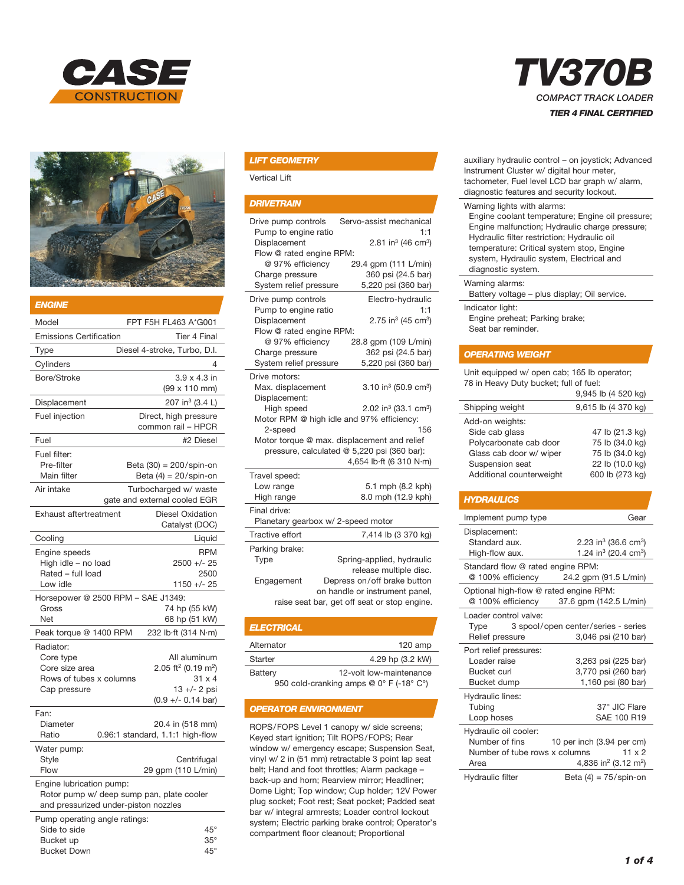



| <b>ENGINE</b>                                                                                                 |                                                                                                                      |  |
|---------------------------------------------------------------------------------------------------------------|----------------------------------------------------------------------------------------------------------------------|--|
| Model                                                                                                         | FPT F5H FL463 A*G001                                                                                                 |  |
| <b>Emissions Certification</b>                                                                                | <b>Tier 4 Final</b>                                                                                                  |  |
| Type                                                                                                          | Diesel 4-stroke, Turbo, D.I.                                                                                         |  |
| Cylinders                                                                                                     | 4                                                                                                                    |  |
| Bore/Stroke                                                                                                   | $3.9 \times 4.3$ in<br>(99 x 110 mm)                                                                                 |  |
| Displacement                                                                                                  | 207 in <sup>3</sup> (3.4 L)                                                                                          |  |
| Fuel injection                                                                                                | Direct, high pressure<br>common rail - HPCR                                                                          |  |
| Fuel                                                                                                          | #2 Diesel                                                                                                            |  |
| Fuel filter:<br>Pre-filter<br>Main filter<br>Air intake                                                       | Beta (30) = 200/spin-on<br>Beta $(4) = 20$ /spin-on<br>Turbocharged w/ waste                                         |  |
|                                                                                                               | gate and external cooled EGR                                                                                         |  |
| Exhaust aftertreatment                                                                                        | Diesel Oxidation<br>Catalyst (DOC)                                                                                   |  |
| Cooling                                                                                                       | Liquid                                                                                                               |  |
| Engine speeds<br>High idle - no load<br>Rated - full load<br>Low idle                                         | <b>RPM</b><br>$2500 +/- 25$<br>2500<br>1150 +/- 25                                                                   |  |
| Horsepower @ 2500 RPM - SAE J1349:<br>Gross<br>Net                                                            | 74 hp (55 kW)<br>68 hp (51 kW)                                                                                       |  |
| Peak torque @ 1400 RPM                                                                                        | 232 lb·ft (314 N·m)                                                                                                  |  |
| Radiator:<br>Core type<br>Core size area<br>Rows of tubes x columns<br>Cap pressure                           | All aluminum<br>2.05 ft <sup>2</sup> (0.19 m <sup>2</sup> )<br>$31 \times 4$<br>13 +/- 2 psi<br>$(0.9 +/- 0.14$ bar) |  |
| Fan:<br>Diameter<br>Ratio                                                                                     | 20.4 in (518 mm)<br>0.96:1 standard, 1.1:1 high-flow                                                                 |  |
| Water pump:<br>Style<br>Flow                                                                                  | Centrifugal<br>29 gpm (110 L/min)                                                                                    |  |
| Engine lubrication pump:<br>Rotor pump w/ deep sump pan, plate cooler<br>and pressurized under-piston nozzles |                                                                                                                      |  |
| Pump operating angle ratings:<br>Side to side                                                                 | $45^{\circ}$                                                                                                         |  |

Bucket up 35° Bucket Down 45°

### *LIFT GEOMETRY*

Vertical Lift

#### *DRIVETRAIN*

| Drive pump controls<br>Pump to engine ratio<br>Displacement<br>Flow @ rated engine RPM:<br>@ 97% efficiency<br>Charge pressure<br>System relief pressure                                                                                                                                                                                                  | Servo-assist mechanical<br>1:1<br>2.81 in <sup>3</sup> (46 cm <sup>3</sup> )<br>29.4 gpm (111 L/min)<br>360 psi (24.5 bar)<br>5,220 psi (360 bar)                    |  |  |
|-----------------------------------------------------------------------------------------------------------------------------------------------------------------------------------------------------------------------------------------------------------------------------------------------------------------------------------------------------------|----------------------------------------------------------------------------------------------------------------------------------------------------------------------|--|--|
| Drive pump controls<br>Pump to engine ratio<br>Displacement<br>Flow @ rated engine RPM:<br>@ 97% efficiency<br>Charge pressure<br>System relief pressure                                                                                                                                                                                                  | Electro-hydraulic<br>1:1<br>2.75 in <sup>3</sup> (45 cm <sup>3</sup> )<br>28.8 gpm (109 L/min)<br>362 psi (24.5 bar)<br>5,220 psi (360 bar)                          |  |  |
| Drive motors:<br>3.10 in <sup>3</sup> (50.9 cm <sup>3</sup> )<br>Max. displacement<br>Displacement:<br>High speed<br>2.02 in <sup>3</sup> (33.1 cm <sup>3</sup> )<br>Motor RPM @ high idle and 97% efficiency:<br>2-speed<br>156<br>Motor torque @ max. displacement and relief<br>pressure, calculated @ 5,220 psi (360 bar):<br>4,654 lb·ft (6 310 N·m) |                                                                                                                                                                      |  |  |
| Travel speed:<br>Low range<br>High range                                                                                                                                                                                                                                                                                                                  | 5.1 mph (8.2 kph)<br>8.0 mph (12.9 kph)                                                                                                                              |  |  |
| Final drive:<br>Planetary gearbox w/ 2-speed motor                                                                                                                                                                                                                                                                                                        |                                                                                                                                                                      |  |  |
| Tractive effort                                                                                                                                                                                                                                                                                                                                           | 7,414 lb (3 370 kg)                                                                                                                                                  |  |  |
| Parking brake:<br>Type<br>Engagement                                                                                                                                                                                                                                                                                                                      | Spring-applied, hydraulic<br>release multiple disc.<br>Depress on/off brake button<br>on handle or instrument panel,<br>raise seat bar, get off seat or stop engine. |  |  |

| <b>ELECTRICAL</b> |                                           |
|-------------------|-------------------------------------------|
| Alternator        | $120$ amp                                 |
| Starter           | 4.29 hp (3.2 kW)                          |
| Battery           | 12-volt low-maintenance                   |
|                   | $\cap$ $\cap$ $\cap$ $\cap$ $\cap$ $\cap$ |

950 cold-cranking amps @ 0° F (-18° C°)

#### *OPERATOR ENVIRONMENT*

ROPS/FOPS Level 1 canopy w/ side screens; Keyed start ignition; Tilt ROPS/FOPS; Rear window w/ emergency escape; Suspension Seat, vinyl w/ 2 in (51 mm) retractable 3 point lap seat belt; Hand and foot throttles; Alarm package – back-up and horn; Rearview mirror; Headliner; Dome Light; Top window; Cup holder; 12V Power plug socket; Foot rest; Seat pocket; Padded seat bar w/ integral armrests; Loader control lockout system; Electric parking brake control; Operator's compartment floor cleanout; Proportional

# *TV370B COMPACT TRACK LOADER TIER 4 FINAL CERTIFIED*

auxiliary hydraulic control – on joystick; Advanced Instrument Cluster w/ digital hour meter,

| tachometer, Fuel level LCD bar graph w/ alarm,<br>diagnostic features and security lockout.                                                                                                                                                                                                     |
|-------------------------------------------------------------------------------------------------------------------------------------------------------------------------------------------------------------------------------------------------------------------------------------------------|
| Warning lights with alarms:<br>Engine coolant temperature; Engine oil pressure;<br>Engine malfunction; Hydraulic charge pressure;<br>Hydraulic filter restriction; Hydraulic oil<br>temperature: Critical system stop, Engine<br>system, Hydraulic system, Electrical and<br>diagnostic system. |
| Warning alarms:<br>Battery voltage - plus display; Oil service.                                                                                                                                                                                                                                 |
| Indicator light:<br>Engine preheat; Parking brake;<br>Seat bar reminder.                                                                                                                                                                                                                        |

#### *OPERATING WEIGHT*

Unit equipped w/ open cab; 165 lb operator; 78 in Heavy Duty bucket; full of fuel:

|                          | 9,945 lb (4 520 kg) |
|--------------------------|---------------------|
| Shipping weight          | 9,615 lb (4 370 kg) |
| Add-on weights:          |                     |
| Side cab glass           | 47 lb (21.3 kg)     |
| Polycarbonate cab door   | 75 lb (34.0 kg)     |
| Glass cab door w/ wiper  | 75 lb (34.0 kg)     |
| Suspension seat          | 22 lb (10.0 kg)     |
| Additional counterweight | 600 lb (273 kg)     |

#### *HYDRAULICS*

|                                        | Gear                                         |
|----------------------------------------|----------------------------------------------|
| Implement pump type                    |                                              |
| Displacement:                          |                                              |
| Standard aux.                          | 2.23 in <sup>3</sup> (36.6 cm <sup>3</sup> ) |
| High-flow aux.                         | 1.24 in <sup>3</sup> (20.4 cm <sup>3</sup> ) |
| Standard flow @ rated engine RPM:      |                                              |
| @ 100% efficiency                      | 24.2 gpm (91.5 L/min)                        |
| Optional high-flow @ rated engine RPM: |                                              |
| @ 100% efficiency                      | 37.6 gpm (142.5 L/min)                       |
| Loader control valve:                  |                                              |
|                                        | Type 3 spool/open center/series - series     |
| Relief pressure                        | 3,046 psi (210 bar)                          |
| Port relief pressures:                 |                                              |
| Loader raise                           | 3,263 psi (225 bar)                          |
| <b>Bucket curl</b>                     | 3,770 psi (260 bar)                          |
| Bucket dump                            | 1,160 psi (80 bar)                           |
| Hydraulic lines:                       |                                              |
| Tubing                                 | 37° JIC Flare                                |
| Loop hoses                             | SAE 100 R19                                  |
| Hydraulic oil cooler:                  |                                              |
| Number of fins                         | 10 per inch (3.94 per cm)                    |
| Number of tube rows x columns          | $11 \times 2$                                |
| Area                                   | 4,836 in <sup>2</sup> (3.12 m <sup>2</sup> ) |
| Hydraulic filter                       | Beta $(4) = 75$ /spin-on                     |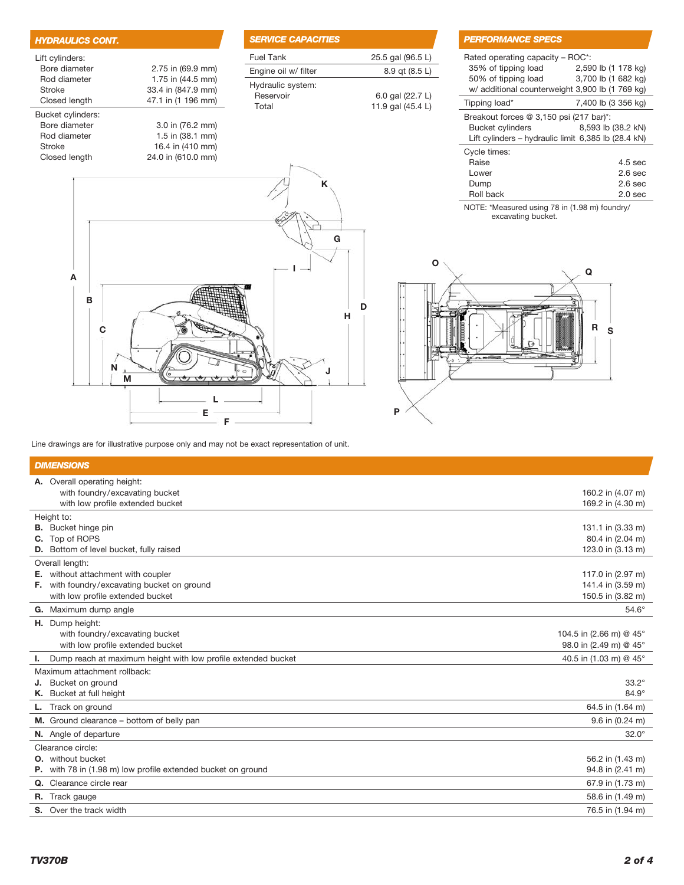| <b>HYDRAULICS CONT.</b> |                    | <b>SER</b>        |
|-------------------------|--------------------|-------------------|
| Lift cylinders:         |                    | Fuel              |
| Bore diameter           | 2.75 in (69.9 mm)  | Engi              |
| Rod diameter            | 1.75 in (44.5 mm)  |                   |
| Stroke                  | 33.4 in (847.9 mm) | Hydr              |
| Closed length           | 47.1 in (1 196 mm) | <b>Res</b><br>Tot |
| Bucket cylinders:       |                    |                   |
| Bore diameter           | 3.0 in (76.2 mm)   |                   |
| Rod diameter            | 1.5 in (38.1 mm)   |                   |
| Stroke                  | 16.4 in (410 mm)   |                   |
| Closed length           | 24.0 in (610.0 mm) |                   |
|                         |                    |                   |

## *NCE CAPACITIES* Tank 25.5 gal (96.5 L) ne oil w/ filter 8.9 qt (8.5 L) raulic system: servoir 6.0 gal (22.7 L) tal 11.9 gal (45.4 L)

#### *PERFORMANCE SPECS*

|                                                     | Rated operating capacity – ROC*:<br>35% of tipping load<br>50% of tipping load | 2,590 lb (1 178 kg)<br>3,700 lb (1 682 kg) |  |  |
|-----------------------------------------------------|--------------------------------------------------------------------------------|--------------------------------------------|--|--|
|                                                     | w/ additional counterweight 3,900 lb (1 769 kg)                                |                                            |  |  |
|                                                     | Tipping load*                                                                  | 7,400 lb (3 356 kg)                        |  |  |
|                                                     | Breakout forces $@3,150$ psi (217 bar)*:                                       |                                            |  |  |
|                                                     | <b>Bucket cylinders</b>                                                        | 8,593 lb (38.2 kN)                         |  |  |
| Lift cylinders – hydraulic limit 6,385 lb (28.4 kN) |                                                                                |                                            |  |  |
|                                                     | Cycle times:                                                                   |                                            |  |  |
|                                                     | Raise                                                                          | $4.5$ sec                                  |  |  |
|                                                     | Lower                                                                          | 2.6 <sub>sec</sub>                         |  |  |
|                                                     | Dump                                                                           | 2.6 <sub>sec</sub>                         |  |  |
|                                                     | Roll back                                                                      | $2.0 \text{ sec}$                          |  |  |

NOTE: \*Measured using 78 in (1.98 m) foundry/ excavating bucket.





Line drawings are for illustrative purpose only and may not be exact representation of unit.

#### *DIMENSIONS* A. Overall operating height: with foundry/excavating bucket 160.2 in (4.07 m) with low profile extended bucket 169.2 in (4.30 m) and the steaded bucket 169.2 in (4.30 m) Height to: **B.** Bucket hinge pin 131.1 in (3.33 m) **C.** Top of ROPS 80.4 in (2.04 m) **D.** Bottom of level bucket, fully raised 123.0 in (3.13 m) Overall length: E. without attachment with coupler 117.0 in (2.97 m) **F.** with foundry/excavating bucket on ground **141.4** in (3.59 m) with low profile extended bucket 150.5 in (3.82 m) G. Maximum dump angle 54.6° 54.6° H. Dump height: with foundry/excavating bucket and the state 104.5 in (2.66 m) @ 45° minutes are the 104.5 in (2.66 m) @ 45° with low profile extended bucket  $98.0$  in (2.49 m) @ 45° I. Dump reach at maximum height with low profile extended bucket 40.5 in (1.03 m) @ 45° Maximum attachment rollback: **J.** Bucket on ground  $33.2^{\circ}$ <br> **K.** Bucket at full height  $84.9^{\circ}$ K. Bucket at full height **L.** Track on ground 64.5 in (1.64 m) 64.5 in (1.64 m) **M.** Ground clearance – bottom of belly pan  $9.6$  in (0.24 m) N. Angle of departure 32.0° 32.0° Clearance circle: **O.** without bucket  $\sim$  56.2 in (1.43 m) P. with 78 in (1.98 m) low profile extended bucket on ground extended bucket on ground 94.8 in (2.41 m) **Q.** Clearance circle rear 67.9 in (1.73 m) **R.** Track gauge 58.6 in (1.49 m) 58.6 in (1.49 m) 58.6 in (1.49 m) 58.6 in (1.49 m) 58.6 in (1.49 m) 58.6 in (1.49 m) 58.6 in (1.49 m) 58.6 in (1.49 m) 58.6 in (1.49 m) 58.6 in (1.49 m) 58.6 in (1.49 m) 58.6 in (1.49 m) 5 S. Over the track width 76.5 in (1.94 m)  $\sim$  76.5 in (1.94 m)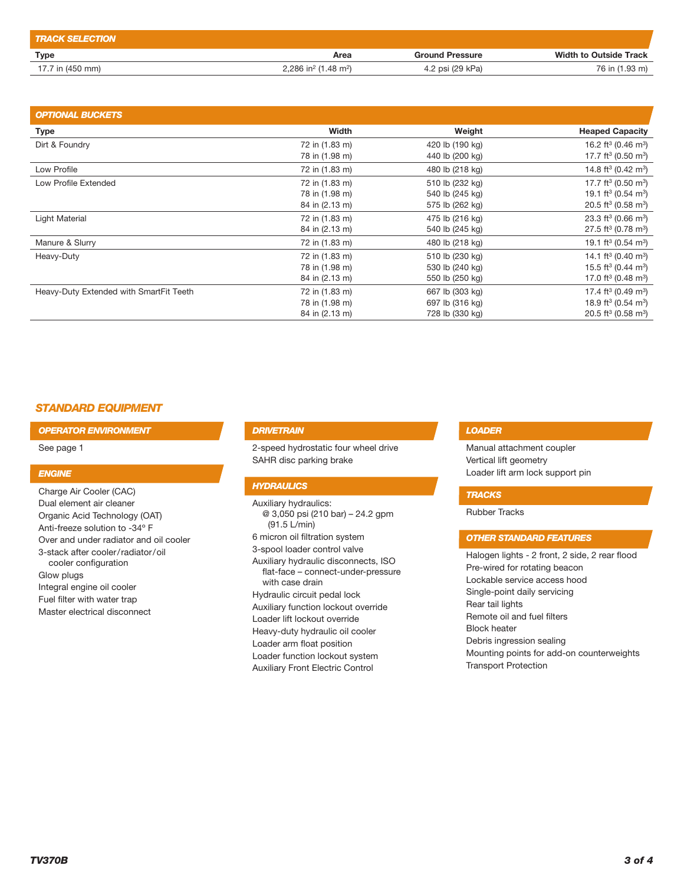| <b>TRACK SELECTION</b> |                                              |                        |                               |
|------------------------|----------------------------------------------|------------------------|-------------------------------|
| Type                   | Area                                         | <b>Ground Pressure</b> | <b>Width to Outside Track</b> |
| 17.7 in (450 mm)       | 2.286 in <sup>2</sup> (1.48 m <sup>2</sup> ) | 4.2 psi (29 kPa)       | 76 in (1.93 m)                |

| <b>OPTIONAL BUCKETS</b>                 |                |                 |                                             |
|-----------------------------------------|----------------|-----------------|---------------------------------------------|
| <b>Type</b>                             | Width          | Weight          | <b>Heaped Capacity</b>                      |
| Dirt & Foundry                          | 72 in (1.83 m) | 420 lb (190 kg) | 16.2 ft <sup>3</sup> (0.46 m <sup>3</sup> ) |
|                                         | 78 in (1.98 m) | 440 lb (200 kg) | 17.7 ft <sup>3</sup> (0.50 m <sup>3</sup> ) |
| Low Profile                             | 72 in (1.83 m) | 480 lb (218 kg) | 14.8 ft <sup>3</sup> (0.42 m <sup>3</sup> ) |
| Low Profile Extended                    | 72 in (1.83 m) | 510 lb (232 kg) | 17.7 ft <sup>3</sup> (0.50 m <sup>3</sup> ) |
|                                         | 78 in (1.98 m) | 540 lb (245 kg) | 19.1 ft <sup>3</sup> (0.54 m <sup>3</sup> ) |
|                                         | 84 in (2.13 m) | 575 lb (262 kg) | 20.5 ft <sup>3</sup> (0.58 m <sup>3</sup> ) |
| Light Material                          | 72 in (1.83 m) | 475 lb (216 kg) | 23.3 ft <sup>3</sup> (0.66 m <sup>3</sup> ) |
|                                         | 84 in (2.13 m) | 540 lb (245 kg) | 27.5 ft <sup>3</sup> (0.78 m <sup>3</sup> ) |
| Manure & Slurry                         | 72 in (1.83 m) | 480 lb (218 kg) | 19.1 ft <sup>3</sup> (0.54 m <sup>3</sup> ) |
| Heavy-Duty                              | 72 in (1.83 m) | 510 lb (230 kg) | 14.1 ft <sup>3</sup> (0.40 m <sup>3</sup> ) |
|                                         | 78 in (1.98 m) | 530 lb (240 kg) | 15.5 ft <sup>3</sup> (0.44 m <sup>3</sup> ) |
|                                         | 84 in (2.13 m) | 550 lb (250 kg) | 17.0 ft <sup>3</sup> (0.48 m <sup>3</sup> ) |
| Heavy-Duty Extended with SmartFit Teeth | 72 in (1.83 m) | 667 lb (303 kg) | 17.4 ft <sup>3</sup> (0.49 m <sup>3</sup> ) |
|                                         | 78 in (1.98 m) | 697 lb (316 kg) | 18.9 ft <sup>3</sup> (0.54 m <sup>3</sup> ) |
|                                         | 84 in (2.13 m) | 728 lb (330 kg) | 20.5 ft <sup>3</sup> (0.58 m <sup>3</sup> ) |

## *STANDARD EQUIPMENT*

*OPERATOR ENVIRONMENT*

See page 1

#### *ENGINE*

Charge Air Cooler (CAC) Dual element air cleaner Organic Acid Technology (OAT) Anti-freeze solution to -34º F Over and under radiator and oil cooler 3-stack after cooler/radiator/oil cooler configuration Glow plugs Integral engine oil cooler Fuel filter with water trap Master electrical disconnect

#### *DRIVETRAIN*

2-speed hydrostatic four wheel drive SAHR disc parking brake

#### *HYDRAULICS*

Auxiliary hydraulics: @ 3,050 psi (210 bar) – 24.2 gpm (91.5 L/min) 6 micron oil filtration system 3-spool loader control valve Auxiliary hydraulic disconnects, ISO flat-face – connect-under-pressure with case drain Hydraulic circuit pedal lock Auxiliary function lockout override Loader lift lockout override Heavy-duty hydraulic oil cooler Loader arm float position Loader function lockout system Auxiliary Front Electric Control

#### *LOADER*

Manual attachment coupler Vertical lift geometry Loader lift arm lock support pin

#### *TRACKS*

Rubber Tracks

## *OTHER STANDARD FEATURES*

Halogen lights - 2 front, 2 side, 2 rear flood Pre-wired for rotating beacon Lockable service access hood Single-point daily servicing Rear tail lights Remote oil and fuel filters Block heater Debris ingression sealing Mounting points for add-on counterweights Transport Protection